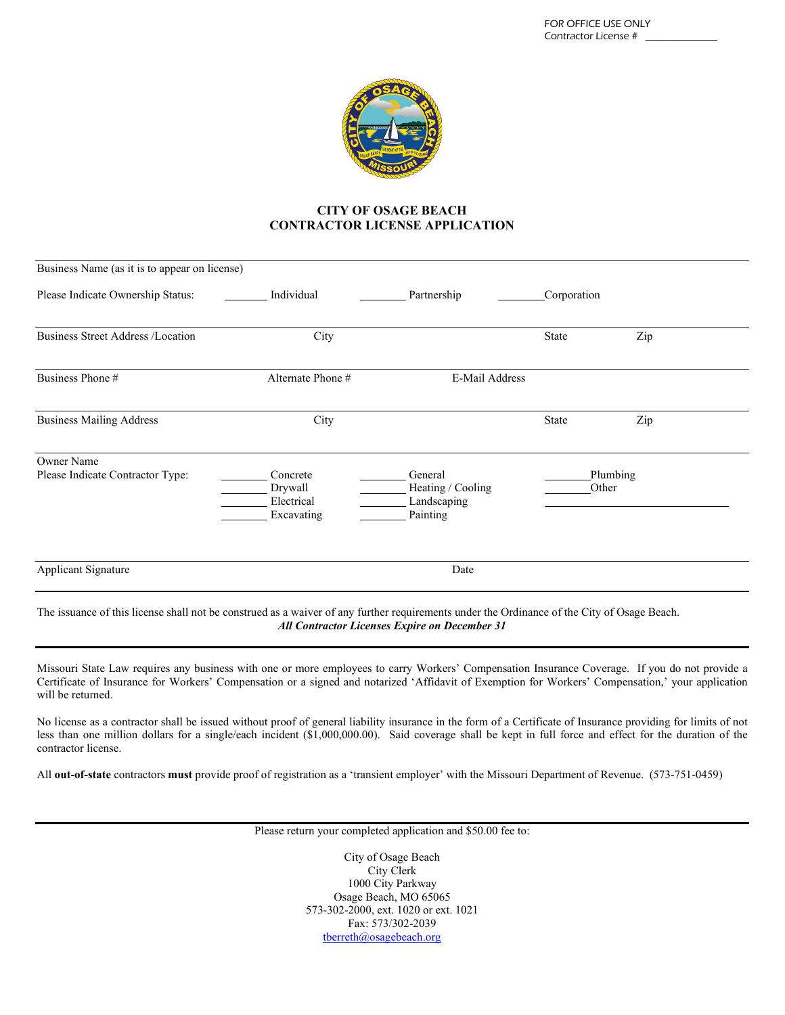

## **CITY OF OSAGE BEACH CONTRACTOR LICENSE APPLICATION**

| Business Name (as it is to appear on license)         |                                                 |                                                         |                   |     |  |
|-------------------------------------------------------|-------------------------------------------------|---------------------------------------------------------|-------------------|-----|--|
| Please Indicate Ownership Status:                     | Individual                                      | Partnership                                             | Corporation       |     |  |
| <b>Business Street Address /Location</b>              | City                                            |                                                         | State             | Zip |  |
| Business Phone #                                      | Alternate Phone #                               | E-Mail Address                                          |                   |     |  |
| <b>Business Mailing Address</b>                       | City                                            |                                                         | <b>State</b>      | Zip |  |
| <b>Owner Name</b><br>Please Indicate Contractor Type: | Concrete<br>Drywall<br>Electrical<br>Excavating | General<br>Heating / Cooling<br>Landscaping<br>Painting | Plumbing<br>Other |     |  |
| Applicant Signature                                   | Date                                            |                                                         |                   |     |  |

The issuance of this license shall not be construed as a waiver of any further requirements under the Ordinance of the City of Osage Beach. *All Contractor Licenses Expire on December 31*

Missouri State Law requires any business with one or more employees to carry Workers' Compensation Insurance Coverage. If you do not provide a Certificate of Insurance for Workers' Compensation or a signed and notarized 'Affidavit of Exemption for Workers' Compensation,' your application will be returned.

No license as a contractor shall be issued without proof of general liability insurance in the form of a Certificate of Insurance providing for limits of not less than one million dollars for a single/each incident (\$1,000,000.00). Said coverage shall be kept in full force and effect for the duration of the contractor license.

All **out-of-state** contractors **must** provide proof of registration as a 'transient employer' with the Missouri Department of Revenue. (573-751-0459)

Please return your completed application and \$50.00 fee to:

City of Osage Beach City Clerk 1000 City Parkway Osage Beach, MO 65065 573-302-2000, ext. 1020 or ext. 1021 Fax: 573/302-2039 [tberreth@osagebeach.org](mailto:tberreth@osagebeach.org)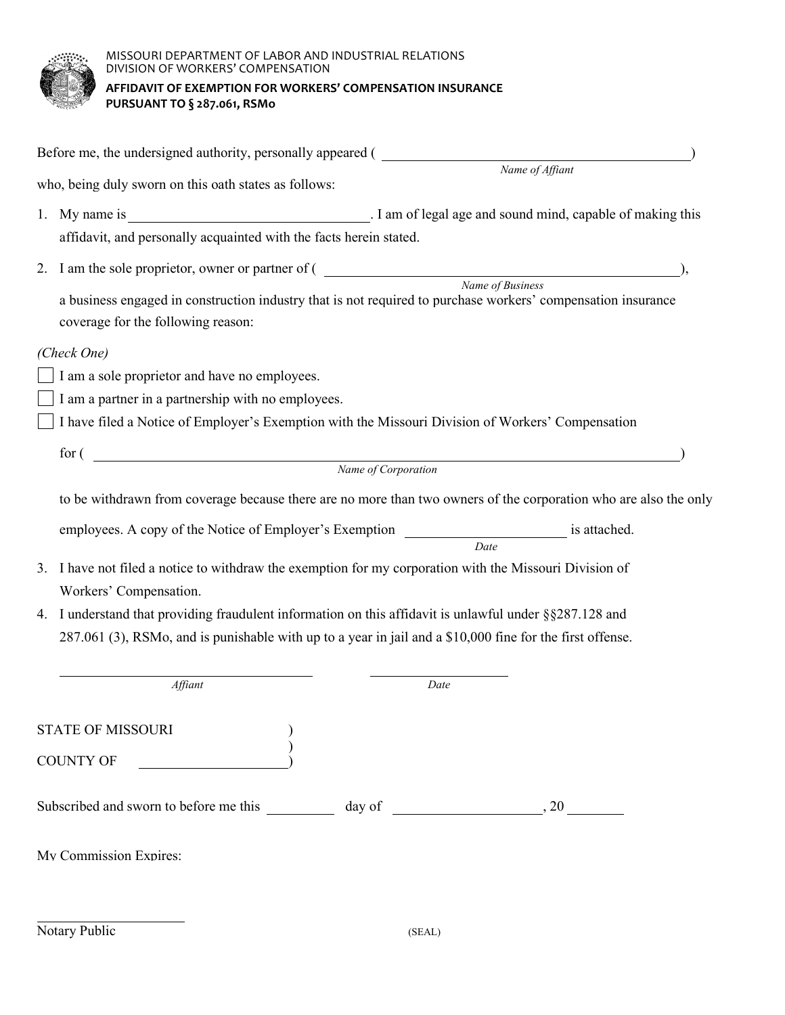

MISSOURI DEPARTMENT OF LABOR AND INDUSTRIAL RELATIONS DIVISION OF WORKERS' COMPENSATION **AFFIDAVIT OF EXEMPTION FOR WORKERS' COMPENSATION INSURANCE PURSUANT TO § 287.061, RSMo**

|    | who, being duly sworn on this oath states as follows:                                                                                                                                                             |                                                                                                                  |  |  |  |  |  |
|----|-------------------------------------------------------------------------------------------------------------------------------------------------------------------------------------------------------------------|------------------------------------------------------------------------------------------------------------------|--|--|--|--|--|
| 1. | affidavit, and personally acquainted with the facts herein stated.                                                                                                                                                |                                                                                                                  |  |  |  |  |  |
|    | 2. I am the sole proprietor, owner or partner of $($ Name of Business                                                                                                                                             |                                                                                                                  |  |  |  |  |  |
|    | a business engaged in construction industry that is not required to purchase workers' compensation insurance<br>coverage for the following reason:                                                                |                                                                                                                  |  |  |  |  |  |
|    | (Check One)                                                                                                                                                                                                       |                                                                                                                  |  |  |  |  |  |
|    | I am a sole proprietor and have no employees.                                                                                                                                                                     |                                                                                                                  |  |  |  |  |  |
|    | I am a partner in a partnership with no employees.                                                                                                                                                                |                                                                                                                  |  |  |  |  |  |
|    | I have filed a Notice of Employer's Exemption with the Missouri Division of Workers' Compensation                                                                                                                 |                                                                                                                  |  |  |  |  |  |
|    | $\mbox{ for } (\hbox{ 12.5cm } \label{thm:1}$ $\mbox{ Name of Corporation}$                                                                                                                                       |                                                                                                                  |  |  |  |  |  |
|    |                                                                                                                                                                                                                   |                                                                                                                  |  |  |  |  |  |
|    |                                                                                                                                                                                                                   | to be withdrawn from coverage because there are no more than two owners of the corporation who are also the only |  |  |  |  |  |
|    | employees. A copy of the Notice of Employer's Exemption _________________________ is attached.                                                                                                                    |                                                                                                                  |  |  |  |  |  |
|    |                                                                                                                                                                                                                   | Date                                                                                                             |  |  |  |  |  |
| 3. | I have not filed a notice to withdraw the exemption for my corporation with the Missouri Division of                                                                                                              |                                                                                                                  |  |  |  |  |  |
| 4. | Workers' Compensation.                                                                                                                                                                                            |                                                                                                                  |  |  |  |  |  |
|    | I understand that providing fraudulent information on this affidavit is unlawful under §§287.128 and<br>287.061 (3), RSMo, and is punishable with up to a year in jail and a \$10,000 fine for the first offense. |                                                                                                                  |  |  |  |  |  |
|    |                                                                                                                                                                                                                   |                                                                                                                  |  |  |  |  |  |
|    | Affiant                                                                                                                                                                                                           | Date                                                                                                             |  |  |  |  |  |
|    | <b>STATE OF MISSOURI</b>                                                                                                                                                                                          |                                                                                                                  |  |  |  |  |  |
|    | <b>COUNTY OF</b>                                                                                                                                                                                                  |                                                                                                                  |  |  |  |  |  |
|    |                                                                                                                                                                                                                   |                                                                                                                  |  |  |  |  |  |
|    |                                                                                                                                                                                                                   |                                                                                                                  |  |  |  |  |  |
|    | My Commission Expires:                                                                                                                                                                                            |                                                                                                                  |  |  |  |  |  |
|    | Notary Public                                                                                                                                                                                                     | (SEAL)                                                                                                           |  |  |  |  |  |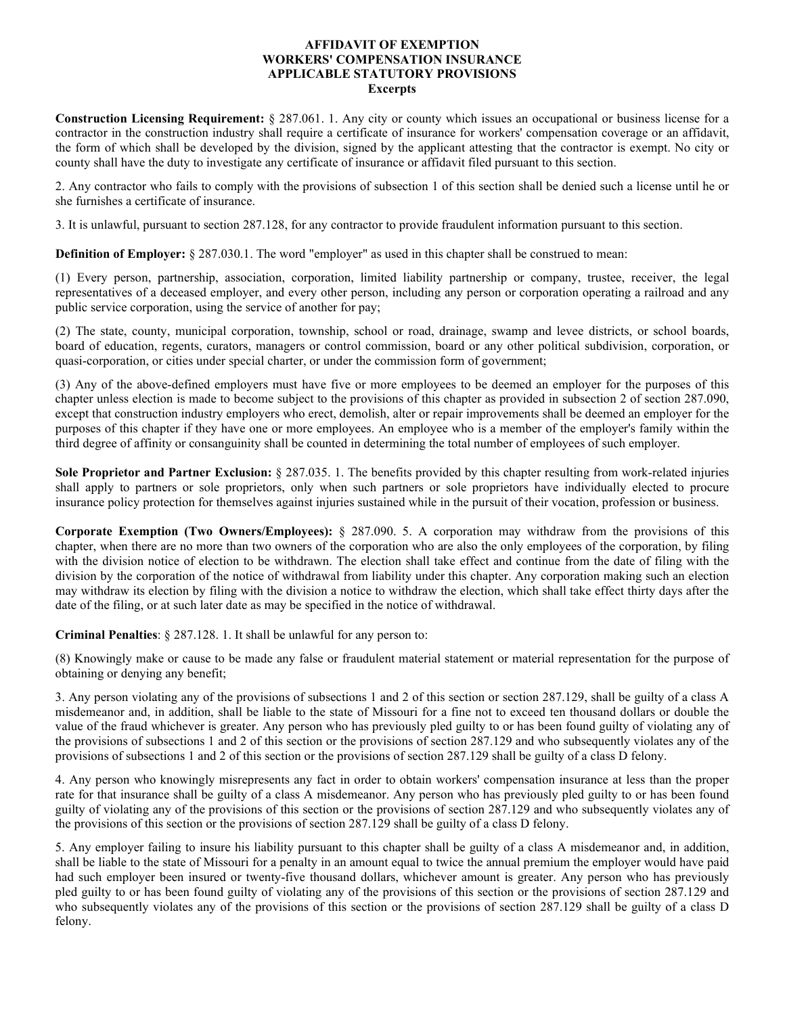## **AFFIDAVIT OF EXEMPTION WORKERS' COMPENSATION INSURANCE APPLICABLE STATUTORY PROVISIONS Excerpts**

**Construction Licensing Requirement:** § 287.061. 1. Any city or county which issues an occupational or business license for a contractor in the construction industry shall require a certificate of insurance for workers' compensation coverage or an affidavit, the form of which shall be developed by the division, signed by the applicant attesting that the contractor is exempt. No city or county shall have the duty to investigate any certificate of insurance or affidavit filed pursuant to this section.

2. Any contractor who fails to comply with the provisions of subsection 1 of this section shall be denied such a license until he or she furnishes a certificate of insurance.

3. It is unlawful, pursuant to section 287.128, for any contractor to provide fraudulent information pursuant to this section.

**Definition of Employer:** § 287.030.1. The word "employer" as used in this chapter shall be construed to mean:

(1) Every person, partnership, association, corporation, limited liability partnership or company, trustee, receiver, the legal representatives of a deceased employer, and every other person, including any person or corporation operating a railroad and any public service corporation, using the service of another for pay;

(2) The state, county, municipal corporation, township, school or road, drainage, swamp and levee districts, or school boards, board of education, regents, curators, managers or control commission, board or any other political subdivision, corporation, or quasi-corporation, or cities under special charter, or under the commission form of government;

(3) Any of the above-defined employers must have five or more employees to be deemed an employer for the purposes of this chapter unless election is made to become subject to the provisions of this chapter as provided in subsection 2 of section 287.090, except that construction industry employers who erect, demolish, alter or repair improvements shall be deemed an employer for the purposes of this chapter if they have one or more employees. An employee who is a member of the employer's family within the third degree of affinity or consanguinity shall be counted in determining the total number of employees of such employer.

**Sole Proprietor and Partner Exclusion:** § 287.035. 1. The benefits provided by this chapter resulting from work-related injuries shall apply to partners or sole proprietors, only when such partners or sole proprietors have individually elected to procure insurance policy protection for themselves against injuries sustained while in the pursuit of their vocation, profession or business.

**Corporate Exemption (Two Owners/Employees):** § 287.090. 5. A corporation may withdraw from the provisions of this chapter, when there are no more than two owners of the corporation who are also the only employees of the corporation, by filing with the division notice of election to be withdrawn. The election shall take effect and continue from the date of filing with the division by the corporation of the notice of withdrawal from liability under this chapter. Any corporation making such an election may withdraw its election by filing with the division a notice to withdraw the election, which shall take effect thirty days after the date of the filing, or at such later date as may be specified in the notice of withdrawal.

**Criminal Penalties**: § 287.128. 1. It shall be unlawful for any person to:

(8) Knowingly make or cause to be made any false or fraudulent material statement or material representation for the purpose of obtaining or denying any benefit;

3. Any person violating any of the provisions of subsections 1 and 2 of this section or section 287.129, shall be guilty of a class A misdemeanor and, in addition, shall be liable to the state of Missouri for a fine not to exceed ten thousand dollars or double the value of the fraud whichever is greater. Any person who has previously pled guilty to or has been found guilty of violating any of the provisions of subsections 1 and 2 of this section or the provisions of section 287.129 and who subsequently violates any of the provisions of subsections 1 and 2 of this section or the provisions of section 287.129 shall be guilty of a class D felony.

4. Any person who knowingly misrepresents any fact in order to obtain workers' compensation insurance at less than the proper rate for that insurance shall be guilty of a class A misdemeanor. Any person who has previously pled guilty to or has been found guilty of violating any of the provisions of this section or the provisions of section 287.129 and who subsequently violates any of the provisions of this section or the provisions of section 287.129 shall be guilty of a class D felony.

5. Any employer failing to insure his liability pursuant to this chapter shall be guilty of a class A misdemeanor and, in addition, shall be liable to the state of Missouri for a penalty in an amount equal to twice the annual premium the employer would have paid had such employer been insured or twenty-five thousand dollars, whichever amount is greater. Any person who has previously pled guilty to or has been found guilty of violating any of the provisions of this section or the provisions of section 287.129 and who subsequently violates any of the provisions of this section or the provisions of section 287.129 shall be guilty of a class D felony.